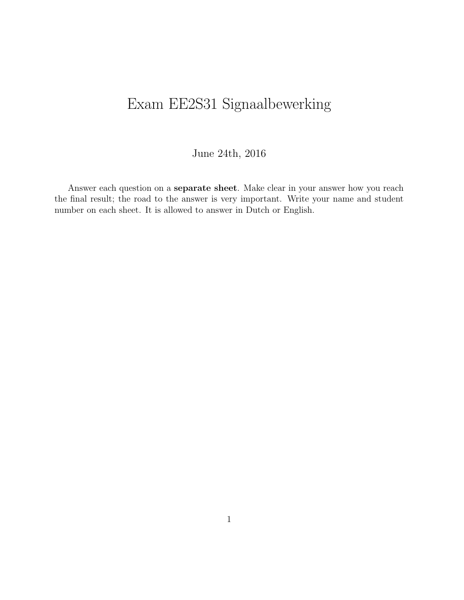# Exam EE2S31 Signaalbewerking

#### June 24th, 2016

Answer each question on a separate sheet. Make clear in your answer how you reach the final result; the road to the answer is very important. Write your name and student number on each sheet. It is allowed to answer in Dutch or English.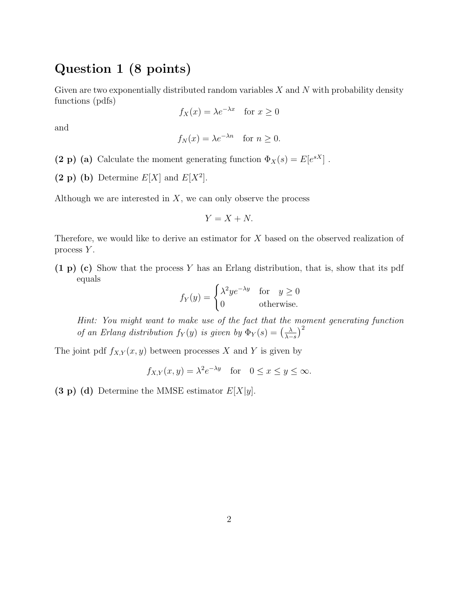### Question 1 (8 points)

Given are two exponentially distributed random variables  $X$  and  $N$  with probability density functions (pdfs)

$$
f_X(x) = \lambda e^{-\lambda x} \quad \text{for } x \ge 0
$$

and

$$
f_N(x) = \lambda e^{-\lambda n}
$$
 for  $n \ge 0$ .

(2 p) (a) Calculate the moment generating function  $\Phi_X(s) = E[e^{sX}]$ .

(2 p) (b) Determine  $E[X]$  and  $E[X^2]$ .

Although we are interested in  $X$ , we can only observe the process

$$
Y = X + N.
$$

Therefore, we would like to derive an estimator for X based on the observed realization of process Y.

(1 p) (c) Show that the process Y has an Erlang distribution, that is, show that its pdf equals

$$
f_Y(y) = \begin{cases} \lambda^2 y e^{-\lambda y} & \text{for } y \ge 0\\ 0 & \text{otherwise.} \end{cases}
$$

Hint: You might want to make use of the fact that the moment generating function of an Erlang distribution  $f_Y(y)$  is given by  $\Phi_Y(s) = \left(\frac{\lambda}{\lambda-s}\right)^{s}$  $\frac{\lambda}{\lambda-s}\big)^2$ 

The joint pdf  $f_{X,Y}(x, y)$  between processes X and Y is given by

$$
f_{X,Y}(x, y) = \lambda^2 e^{-\lambda y}
$$
 for  $0 \le x \le y \le \infty$ .

(3 p) (d) Determine the MMSE estimator  $E[X|y]$ .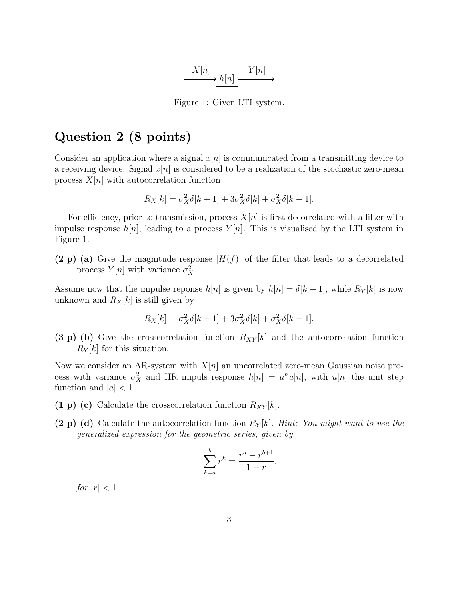

Figure 1: Given LTI system.

#### Question 2 (8 points)

Consider an application where a signal  $x[n]$  is communicated from a transmitting device to a receiving device. Signal  $x[n]$  is considered to be a realization of the stochastic zero-mean process  $X[n]$  with autocorrelation function

$$
R_X[k] = \sigma_X^2 \delta[k+1] + 3\sigma_X^2 \delta[k] + \sigma_X^2 \delta[k-1].
$$

For efficiency, prior to transmission, process  $X[n]$  is first decorrelated with a filter with impulse response  $h[n]$ , leading to a process  $Y[n]$ . This is visualised by the LTI system in Figure 1.

(2 p) (a) Give the magnitude response  $|H(f)|$  of the filter that leads to a decorrelated process  $Y[n]$  with variance  $\sigma_X^2$ .

Assume now that the impulse reponse  $h[n]$  is given by  $h[n] = \delta[k-1]$ , while  $R_Y[k]$  is now unknown and  $R_X[k]$  is still given by

$$
R_X[k] = \sigma_X^2 \delta[k+1] + 3\sigma_X^2 \delta[k] + \sigma_X^2 \delta[k-1].
$$

(3 p) (b) Give the crosscorrelation function  $R_{XY}[k]$  and the autocorrelation function  $R_Y[k]$  for this situation.

Now we consider an AR-system with  $X[n]$  an uncorrelated zero-mean Gaussian noise process with variance  $\sigma_X^2$  and IIR impuls response  $h[n] = a^n u[n]$ , with  $u[n]$  the unit step function and  $|a| < 1$ .

- (1 p) (c) Calculate the crosscorrelation function  $R_{XY}[k]$ .
- (2 p) (d) Calculate the autocorrelation function  $R_Y[k]$ . Hint: You might want to use the generalized expression for the geometric series, given by

$$
\sum_{k=a}^{b} r^k = \frac{r^a - r^{b+1}}{1-r}.
$$

for  $|r| < 1$ .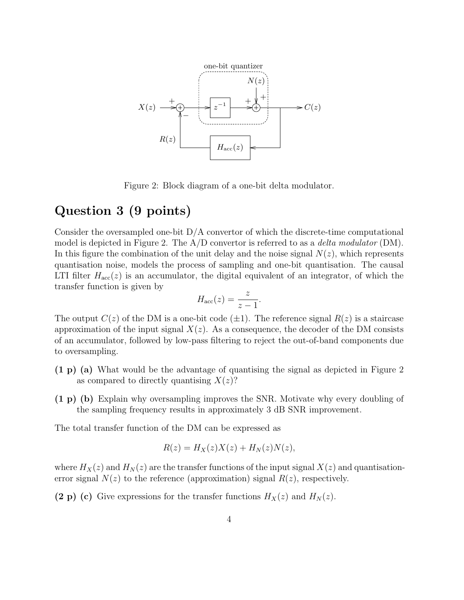

Figure 2: Block diagram of a one-bit delta modulator.

## **Question 3 (9 points).** The total transfer function of the  $\overline{3}$  (9 points).

Consider the oversampled one-bit  $D/A$  convertor of which the discrete-time computational In this figure the combination of the unit delay and the noise signal  $N(z)$ , which represents quantisation noise, models the process of sampling and one-bit quantisation. The causal  $\frac{1}{1}$ transfer function is given by<br> model is depicted in Figure 2. The  $A/D$  convertor is referred to as a *delta modulator* (DM). LTI filter  $H_{\text{acc}}(z)$  is an accumulator, the digital equivalent of an integrator, of which the

$$
H_{\rm acc}(z) = \frac{z}{z-1}.
$$

The output  $C(z)$  of the DM is a one-bit code ( $\pm 1$ ). The reference signal  $R(z)$  is a staircase<br>approximation of the input signal  $X(z)$ . As a consequence, the decoder of the DM consists  $\frac{1}{2}$  approximation of the input signal  $X(z)$ . As a consequence, the decoder of the DM consists **Assignment 2.2.** To obtain the quantized version of the input signal, we have to integrate the of an accumulator, followed by low-pass filtering to reject the out-of-band components due to oversampling.

- $(1 p)$  (a) What would be the advantage of quantising the signal as depicted in Figure 2 as compared to directly quantising  $X(z)$ ?
- (1 p) (b) Explain why oversampling improves the SNR. Motivate why every doubling of the sampling frequency results in approximately 3 dB SNR improvement.

The total transfer function of the DM can be expressed as

$$
R(z) = H_X(z)X(z) + H_N(z)N(z),
$$

where  $H_X(z)$  and  $H_N(z)$  are the transfer functions of the input signal  $X(z)$  and quantisationerror signal  $N(z)$  to the reference (approximation) signal  $R(z)$ , respectively.

(2 p) (c) Give expressions for the transfer functions  $H_X(z)$  and  $H_N(z)$ .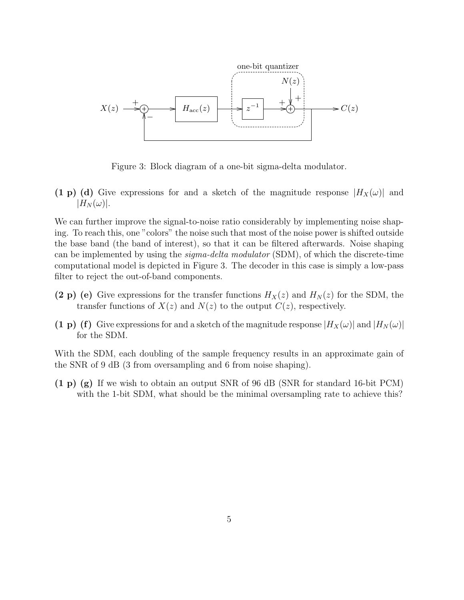

Figure 3: Block diagram of a one-bit sigma-delta modulator.

 $|H_N(\omega)|.$ (1 p) (d) Give expressions for and a sketch of the magnitude response  $|H_X(\omega)|$  and

ing. To reach this, one "colors" the noise such that most of the noise power is shifted outside the base band (the band of interest), so that it can be filtered afterwards. Noise shaping filter to reject the out-of-band components. We can further improve the signal-to-noise ratio considerably by implementing noise shapcan be implemented by using the *sigma-delta modulator* (SDM), of which the discrete-time computational model is depicted in Figure 3. The decoder in this case is simply a low-pass

- (2 p) (e) Give expressions for the transfer functions  $H_X(z)$  and  $H_N(z)$  for the SDM, the transfer functions of  $X(z)$  and  $N(z)$  to the output  $C(z)$ , respectively.
	- (1 p) (f) Give expressions for and a sketch of the magnitude response  $|H_X(\omega)|$  and  $|H_N(\omega)|$ for the SDM.

With the SDM, each doubling of the sample frequency results in an approximate gain of the SNR of 9 dB (3 from oversampling and 6 from noise shaping).

with the 1-bit SDM, what should be the minimal oversampling rate to achieve this? (1 p) (g) If we wish to obtain an output SNR of 96 dB (SNR for standard 16-bit PCM)